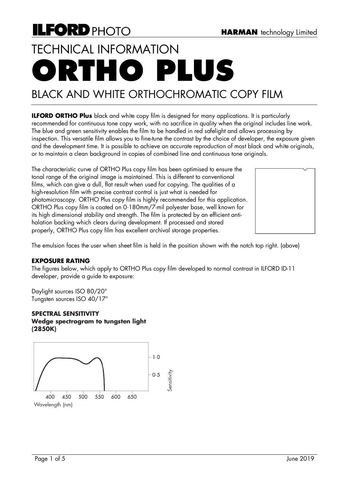**ILFORD ORTHO Plus** black and white copy film is designed for many applications. It is particularly recommended for continuous tone copy work, with no sacrifice in quality when the original includes line work. The blue and green sensitivity enables the film to be handled in red safelight and allows processing by inspection. This versatile film allows you to fine-tune the contrast by the choice of developer, the exposure given and the development time. It is possible to achieve an accurate reproduction of most black and white originals,

The characteristic curve of ORTHO Plus copy film has been optimised to ensure the tonal range of the original image is maintained. This is different to conventional films, which can give a dull, flat result when used for copying. The qualities of a high-resolution film with precise contrast control is just what is needed for photomicroscopy. ORTHO Plus copy film is highly recommended for this application. ORTHO Plus copy film is coated on 0·180mm/7-mil polyester base, well known for its high dimensional stability and strength. The film is protected by an efficient antihalation backing which clears during development. If processed and stored properly, ORTHO Plus copy film has excellent archival storage properties.

or to maintain a clean background in copies of combined line and continuous tone originals.

The emulsion faces the user when sheet film is held in the position shown with the notch top right. (above)

#### **EXPOSURE RATING**

The figures below, which apply to ORTHO Plus copy film developed to normal contrast in ILFORD ID-11 developer, provide a guide to exposure:

Daylight sources ISO 80/20° Tungsten sources ISO 40/17°

#### **SPECTRAL SENSITIVITY Wedge spectrogram to tungsten light (2850K)**



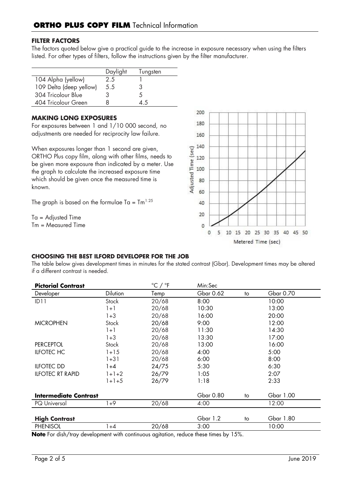## **FILTER FACTORS**

The factors quoted below give a practical guide to the increase in exposure necessary when using the filters listed. For other types of filters, follow the instructions given by the filter manufacturer.

|                         | Daylight | Tungsten |
|-------------------------|----------|----------|
| 104 Alpha (yellow)      | 2.5      |          |
| 109 Delta (deep yellow) | 5.5      | 3        |
| 304 Tricolour Blue      |          |          |
| 404 Tricolour Green     |          | 45       |

#### **MAKING LONG EXPOSURES**

For exposures between 1 and 1/10 000 second, no adjustments are needed for reciprocity law failure.

When exposures longer than 1 second are given, ORTHO Plus copy film, along with other films, needs to be given more exposure than indicated by a meter. Use the graph to calculate the increased exposure time which should be given once the measured time is known.

The graph is based on the formulae Ta =  $\text{Im}^{1.25}$ 

Ta = Adjusted Time Tm = Measured Time



#### **CHOOSING THE BEST ILFORD DEVELOPER FOR THE JOB**

The table below gives development times in minutes for the stated contrast (Gbar). Development times may be altered if a different contrast is needed.

| <b>Pictorial Contrast</b> |          | $^{\circ}$ C / $^{\circ}$ F | Min:Sec   |    |           |
|---------------------------|----------|-----------------------------|-----------|----|-----------|
| Developer                 | Dilution | Temp                        | Gbar 0.62 | to | Gbar 0.70 |
| ID11                      | Stock    | 20/68                       | 8:00      |    | 10:00     |
|                           | $1 + 1$  | 20/68                       | 10:30     |    | 13:00     |
|                           | 1+3      | 20/68                       | 16:00     |    | 20:00     |
| <b>MICROPHEN</b>          | Stock    | 20/68                       | 9:00      |    | 12:00     |
|                           | $1 + 1$  | 20/68                       | 11:30     |    | 14:30     |
|                           | $1 + 3$  | 20/68                       | 13:30     |    | 17:00     |
| <b>PERCEPTOL</b>          | Stock    | 20/68                       | 13:00     |    | 16:00     |
| <b>ILFOTEC HC</b>         | $1 + 15$ | 20/68                       | 4:00      |    | 5:00      |
|                           | $1 + 31$ | 20/68                       | 6:00      |    | 8:00      |
| <b>ILFOTEC DD</b>         | 1+4      | 24/75                       | 5:30      |    | 6:30      |
| <b>ILFOTEC RT RAPID</b>   | $1+1+2$  | 26/79                       | 1:05      |    | 2:07      |
|                           | $1+1+5$  | 26/79                       | 1:18      |    | 2:33      |
| Intermediate Contrast     |          |                             | Gbar 0.80 | to | Gbar 1.00 |
| <b>PQ</b> Universal       | 1+9      | 20/68                       | 4:00      |    | 12:00     |
| <b>High Contrast</b>      |          |                             | Gbar 1.2  | to | Gbar 1.80 |
| <b>PHENISOL</b>           | 1+4      | 20/68                       | 3:00      |    | 10:00     |

**Note** For dish/tray development with continuous agitation, reduce these times by 15%.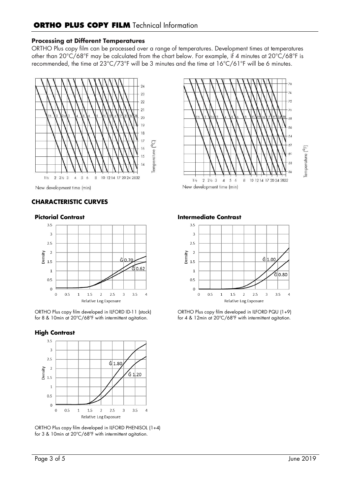### **Processing at Different Temperatures**

ORTHO Plus copy film can be processed over a range of temperatures. Development times at temperatures other than 20°C/68°F may be calculated from the chart below. For example, if 4 minutes at 20°C/68°F is recommended, the time at 23°C/73°F will be 3 minutes and the time at 16°C/61°F will be 6 minutes.



New development time (min)

# **CHARACTERISTIC CURVES**

#### **Pictorial Contrast**



ORTHO Plus copy film developed in ILFORD ID-11 (stock) for 8 & 10min at 20ºC/68ºF with intermittent agitation.

#### **High Contrast**



ORTHO Plus copy film developed in ILFORD PHENISOL (1+4) for 3 & 10min at 20ºC/68ºF with intermittent agitation.



**Intermediate Contrast**



ORTHO Plus copy film developed in ILFORD PQU (1+9) for 4 & 12min at 20ºC/68ºF with intermittent agitation.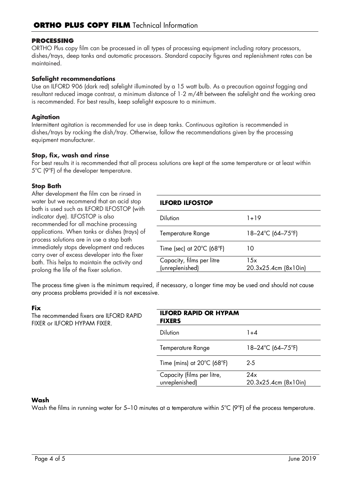### **PROCESSING**

ORTHO Plus copy film can be processed in all types of processing equipment including rotary processors, dishes/trays, deep tanks and automatic processors. Standard capacity figures and replenishment rates can be maintained.

### **Safelight recommendations**

Use an ILFORD 906 (dark red) safelight illuminated by a 15 watt bulb. As a precaution against fogging and resultant reduced image contrast, a minimum distance of 1·2 m/4ft between the safelight and the working area is recommended. For best results, keep safelight exposure to a minimum.

## **Agitation**

Intermittent agitation is recommended for use in deep tanks. Continuous agitation is recommended in dishes/trays by rocking the dish/tray. Otherwise, follow the recommendations given by the processing equipment manufacturer.

#### **Stop, fix, wash and rinse**

For best results it is recommended that all process solutions are kept at the same temperature or at least within 5ºC (9ºF) of the developer temperature.

## **Stop Bath**

After development the film can be rinsed in water but we recommend that an acid stop bath is used such as ILFORD ILFOSTOP (with indicator dye). ILFOSTOP is also recommended for all machine processing applications. When tanks or dishes (trays) of process solutions are in use a stop bath immediately stops development and reduces carry over of excess developer into the fixer bath. This helps to maintain the activity and prolong the life of the fixer solution.

# **ILFORD ILFOSTOP** Dilution 1+19 Temperature Range 18–24°C (64–75°F) Time (sec) at  $20^{\circ}$ C (68 $^{\circ}$ F) 10

The process time given is the minimum required, if necessary, a longer time may be used and should not cause any process problems provided it is not excessive.

(unreplenished)

Capacity, films per litre

# **Fix**

The recommended fixers are ILFORD RAPID FIXER or ILFORD HYPAM FIXER.

| <b>ILFORD RAPID OR HYPAM</b><br><b>FIXERS</b>   |                             |
|-------------------------------------------------|-----------------------------|
| <b>Dilution</b>                                 | $1 + 4$                     |
| Temperature Range                               | 18–24°C (64–75°F)           |
| Time (mins) at $20^{\circ}$ C (68 $^{\circ}$ F) | $2 - 5$                     |
| Capacity (films per litre,<br>unreplenished)    | 24x<br>20.3x25.4cm (8x10in) |

 $\overline{15x}$ 

20.3x25.4cm (8x10in)

#### **Wash**

Wash the films in running water for 5–10 minutes at a temperature within 5°C (9°F) of the process temperature.